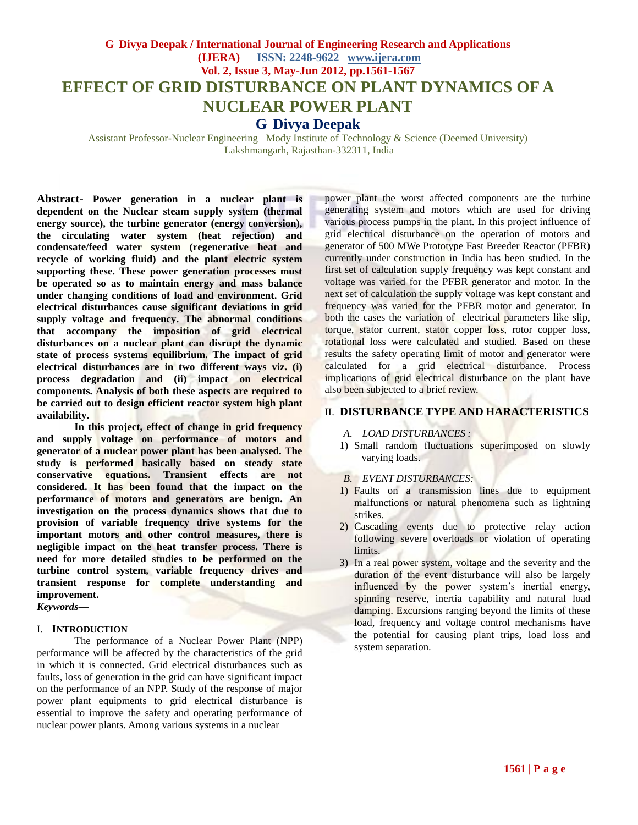# **G Divya Deepak / International Journal of Engineering Research and Applications (IJERA) ISSN: 2248-9622 www.ijera.com Vol. 2, Issue 3, May-Jun 2012, pp.1561-1567 EFFECT OF GRID DISTURBANCE ON PLANT DYNAMICS OF A NUCLEAR POWER PLANT G Divya Deepak**

Assistant Professor-Nuclear Engineering Mody Institute of Technology & Science (Deemed University) Lakshmangarh, Rajasthan-332311, India

**Abstract- Power generation in a nuclear plant is dependent on the Nuclear steam supply system (thermal energy source), the turbine generator (energy conversion), the circulating water system (heat rejection) and condensate/feed water system (regenerative heat and recycle of working fluid) and the plant electric system supporting these. These power generation processes must be operated so as to maintain energy and mass balance under changing conditions of load and environment. Grid electrical disturbances cause significant deviations in grid supply voltage and frequency. The abnormal conditions that accompany the imposition of grid electrical disturbances on a nuclear plant can disrupt the dynamic state of process systems equilibrium. The impact of grid electrical disturbances are in two different ways viz. (i) process degradation and (ii) impact on electrical components. Analysis of both these aspects are required to be carried out to design efficient reactor system high plant availability.** 

**In this project, effect of change in grid frequency and supply voltage on performance of motors and generator of a nuclear power plant has been analysed. The study is performed basically based on steady state conservative equations. Transient effects are not considered. It has been found that the impact on the performance of motors and generators are benign. An investigation on the process dynamics shows that due to provision of variable frequency drive systems for the important motors and other control measures, there is negligible impact on the heat transfer process. There is need for more detailed studies to be performed on the turbine control system, variable frequency drives and transient response for complete understanding and improvement.**

*Keywords***—**

#### I. **INTRODUCTION**

The performance of a Nuclear Power Plant (NPP) performance will be affected by the characteristics of the grid in which it is connected. Grid electrical disturbances such as faults, loss of generation in the grid can have significant impact on the performance of an NPP. Study of the response of major power plant equipments to grid electrical disturbance is essential to improve the safety and operating performance of nuclear power plants. Among various systems in a nuclear

power plant the worst affected components are the turbine generating system and motors which are used for driving various process pumps in the plant. In this project influence of grid electrical disturbance on the operation of motors and generator of 500 MWe Prototype Fast Breeder Reactor (PFBR) currently under construction in India has been studied. In the first set of calculation supply frequency was kept constant and voltage was varied for the PFBR generator and motor. In the next set of calculation the supply voltage was kept constant and frequency was varied for the PFBR motor and generator. In both the cases the variation of electrical parameters like slip, torque, stator current, stator copper loss, rotor copper loss, rotational loss were calculated and studied. Based on these results the safety operating limit of motor and generator were calculated for a grid electrical disturbance. Process implications of grid electrical disturbance on the plant have also been subjected to a brief review.

### II. **DISTURBANCE TYPE AND HARACTERISTICS**

- *A. LOAD DISTURBANCES :*
- 1) Small random fluctuations superimposed on slowly varying loads.
- *B. EVENT DISTURBANCES:*
- 1) Faults on a transmission lines due to equipment malfunctions or natural phenomena such as lightning strikes.
- 2) Cascading events due to protective relay action following severe overloads or violation of operating limits.
- 3) In a real power system, voltage and the severity and the duration of the event disturbance will also be largely influenced by the power system's inertial energy, spinning reserve, inertia capability and natural load damping. Excursions ranging beyond the limits of these load, frequency and voltage control mechanisms have the potential for causing plant trips, load loss and system separation.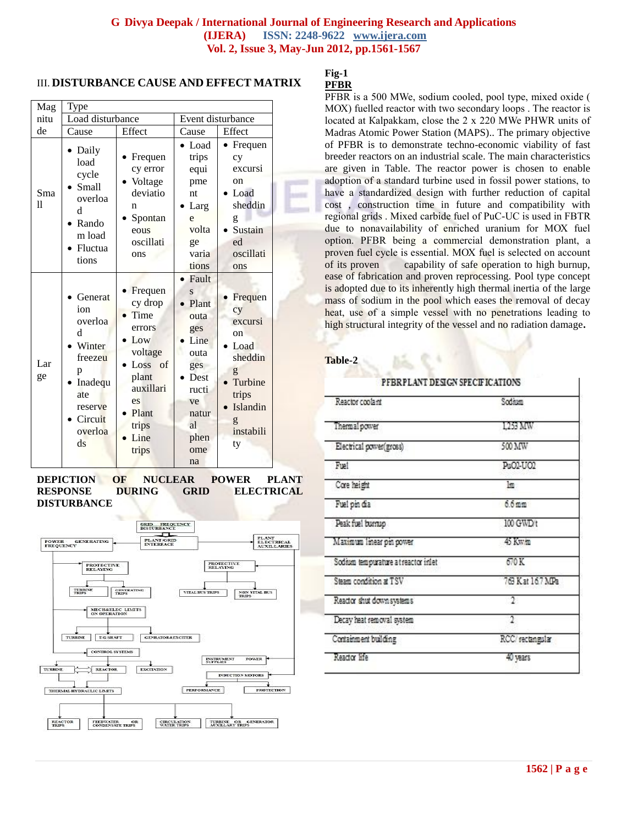### III. **DISTURBANCE CAUSE AND EFFECT MATRIX**

| Mag       | Type                                                                                                                                  |                                                                                                                                  |                                                                                                                                                   |                                                                                                                |  |
|-----------|---------------------------------------------------------------------------------------------------------------------------------------|----------------------------------------------------------------------------------------------------------------------------------|---------------------------------------------------------------------------------------------------------------------------------------------------|----------------------------------------------------------------------------------------------------------------|--|
| nitu      | Load disturbance                                                                                                                      |                                                                                                                                  | Event disturbance                                                                                                                                 |                                                                                                                |  |
| de        | Cause                                                                                                                                 | Effect                                                                                                                           | Cause                                                                                                                                             | Effect                                                                                                         |  |
| Sma<br>11 | Daily<br>load<br>cycle<br><b>Small</b><br>overloa<br>d<br>Rando<br>m load<br>Fluctua<br>tions                                         | Frequen<br>cy error<br>Voltage<br>deviatio<br>n<br>Spontan<br>eous<br>oscillati<br>ons                                           | Load<br>trips<br>equi<br>pme<br>nt<br>Larg<br>e<br>volta<br>ge<br>varia<br>tions                                                                  | Frequen<br>cy<br>excursi<br>on<br>Load<br>sheddin<br>g<br>Sustain<br>ed<br>oscillati<br>ons                    |  |
| Lar<br>ge | Generat<br>ion<br>overloa<br>d<br>Winter<br>freezeu<br>р<br>Inadequ<br>ate<br>reserve<br>Circuit<br>overloa<br>$\mathrm{d}\mathrm{s}$ | Frequen<br>cy drop<br>Time<br>errors<br>Low<br>voltage<br>Loss of<br>plant<br>auxillari<br>es<br>Plant<br>trips<br>Line<br>trips | Fault<br>$\overline{\mathbf{S}}$<br>Plant<br>outa<br>ges<br>Line<br>outa<br>ges<br><b>Dest</b><br>ructi<br>ve<br>natur<br>al<br>phen<br>ome<br>na | Frequen<br>cy<br>excursi<br>on<br>Load<br>sheddin<br>g<br>Turbine<br>trips<br>Islandin<br>g<br>instabili<br>ty |  |

#### **DEPICTION OF NUCLEAR POWER PLANT RESPONSE DURING GRID ELECTRICAL DISTURBANCE**



#### **Fig-1 PFBR**

PFBR is а 500 MWe, sodium cooled, pool type, mixed oxide ( МОХ) fuelled reactor with two secondary loops . The reactor is located at Кalраkkаm, close the 2 х 220 MWe PHWR units of Madras Atomic Power Station (MAPS).. The primary objective of PFBR is to demonstrate techno-economic viability of fast breeder reactors on an industrial scale. The main characteristics are given in Table. The reactor power is chosen to enable adoption of а standard turbine used in fossil power stations, to have a standardized design with further reduction of capital cost , construction time in future and compatibility with regional grids . Mixed carbide fuel of PuС-UС is used in FBTR due to nonavailability of enriched uranium for МОХ fuel option. PFBR being а commercial demonstration plant, а proven fuel cycle is essential. МОХ fuel is selected on account of its proven capability of safe operation to high burnup, ease of fabrication and proven reprocessing. Pool type concept is adopted due to its inherently high thermal inertia of the large mass of sodium in the pool which eases the removal of decay heat, use of a simple vessel with no penetrations leading to high structural integrity of the vessel and no radiation damage**.**

**Table-2**

#### PFBRPLANT DESIGN SPECIFICATIONS

| Reactor coolant                     | Sodium           |  |
|-------------------------------------|------------------|--|
| Thermal power                       | 1253 MW          |  |
| Electrical power(gross)             | 500 MW           |  |
| Fuet                                | Pu02-U02         |  |
| Core height                         | lm               |  |
| Fuel pin dia                        | $6.6 \text{ mm}$ |  |
| Peak fuel burnup                    | 100 GWD t        |  |
| Maximum linear pin power            | 45 Kw/m          |  |
| Sodium tempurature at reactor inlet | 670 K            |  |
| Steam condition at TSV              | 763 Kat 16.7 MPa |  |
| Reactor shut down systems           | o.               |  |
| Decay heat removal system           |                  |  |
| Containment building                | RCC/rectangular  |  |
| Reactor life                        | 40 years         |  |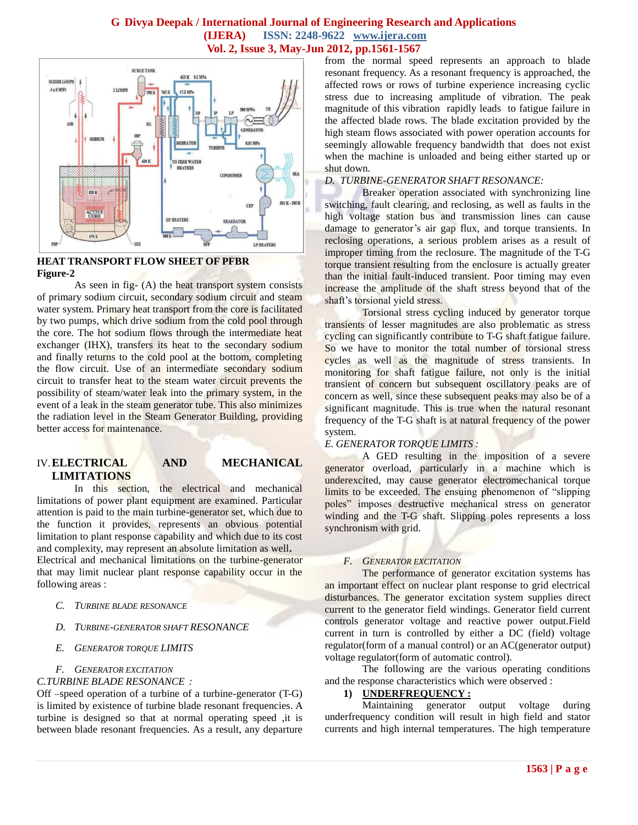

### **HEAT TRANSPORT FLOW SHEET OF PFBR Figure-2**

As seen in fig- $(A)$  the heat transport system consists of primary sodium circuit, secondary sodium circuit and steam water system. Primary heat transport from the core is facilitated by two pumps, which drive sodium from the cold pool through the core. The hot sodium flows through the intermediate heat exchanger (IHX), transfers its heat to the secondary sodium and finally returns to the cold pool at the bottom, completing the flow circuit. Use of an intermediate secondary sodium circuit to transfer heat to the steam water circuit prevents the possibility of steam/water leak into the primary system, in the event of a leak in the steam generator tube. This also minimizes the radiation level in the Steam Generator Building, providing better access for maintenance.

### IV.**ELECTRICAL AND MECHANICAL LIMITATIONS**

In this section, the electrical and mechanical limitations of power plant equipment are examined. Particular attention is paid to the main turbine-generator set, which due to the function it provides, represents an obvious potential limitation to plant response capability and which due to its cost and complexity, may represent an absolute limitation as well**.**  Electrical and mechanical limitations on the turbine-generator that may limit nuclear plant response capability occur in the following areas :

#### *C. TURBINE BLADE RESONANCE*

*D. TURBINE-GENERATOR SHAFT RESONANCE*

#### *E. GENERATOR TORQUE LIMITS*

# *F. GENERATOR EXCITATION*

### *C.TURBINE BLADE RESONANCE :*

Off –speed operation of a turbine of a turbine-generator (T-G) is limited by existence of turbine blade resonant frequencies. A turbine is designed so that at normal operating speed ,it is between blade resonant frequencies. As a result, any departure from the normal speed represents an approach to blade resonant frequency. As a resonant frequency is approached, the affected rows or rows of turbine experience increasing cyclic stress due to increasing amplitude of vibration. The peak magnitude of this vibration rapidly leads to fatigue failure in the affected blade rows. The blade excitation provided by the high steam flows associated with power operation accounts for seemingly allowable frequency bandwidth that does not exist when the machine is unloaded and being either started up or shut down.

#### *D. TURBINE-GENERATOR SHAFT RESONANCE:*

Breaker operation associated with synchronizing line switching, fault clearing, and reclosing, as well as faults in the high voltage station bus and transmission lines can cause damage to generator's air gap flux, and torque transients. In reclosing operations, a serious problem arises as a result of improper timing from the reclosure. The magnitude of the T-G torque transient resulting from the enclosure is actually greater than the initial fault-induced transient. Poor timing may even increase the amplitude of the shaft stress beyond that of the shaft's torsional yield stress.

Torsional stress cycling induced by generator torque transients of lesser magnitudes are also problematic as stress cycling can significantly contribute to T-G shaft fatigue failure. So we have to monitor the total number of torsional stress cycles as well as the magnitude of stress transients. In monitoring for shaft fatigue failure, not only is the initial transient of concern but subsequent oscillatory peaks are of concern as well, since these subsequent peaks may also be of a significant magnitude. This is true when the natural resonant frequency of the T-G shaft is at natural frequency of the power system.

#### *E. GENERATOR TORQUE LIMITS :*

A GED resulting in the imposition of a severe generator overload, particularly in a machine which is underexcited, may cause generator electromechanical torque limits to be exceeded. The ensuing phenomenon of "slipping poles" imposes destructive mechanical stress on generator winding and the T-G shaft. Slipping poles represents a loss synchronism with grid.

### *F. GENERATOR EXCITATION*

The performance of generator excitation systems has an important effect on nuclear plant response to grid electrical disturbances. The generator excitation system supplies direct current to the generator field windings. Generator field current controls generator voltage and reactive power output.Field current in turn is controlled by either a DC (field) voltage regulator(form of a manual control) or an AC(generator output) voltage regulator(form of automatic control).

The following are the various operating conditions and the response characteristics which were observed :

# **1) UNDERFREQUENCY :**

Maintaining generator output voltage during underfrequency condition will result in high field and stator currents and high internal temperatures. The high temperature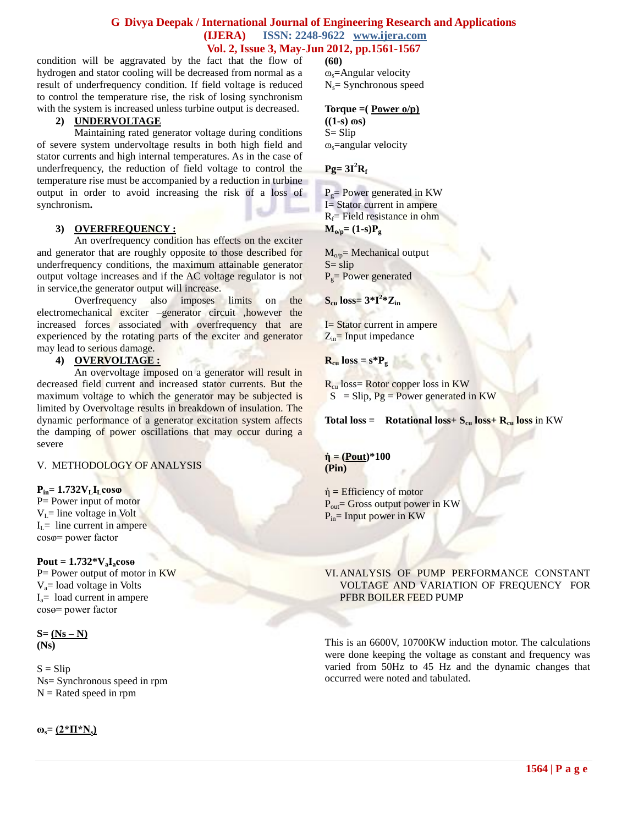condition will be aggravated by the fact that the flow of hydrogen and stator cooling will be decreased from normal as a result of underfrequency condition. If field voltage is reduced to control the temperature rise, the risk of losing synchronism with the system is increased unless turbine output is decreased.

### **2) UNDERVOLTAGE**

Maintaining rated generator voltage during conditions of severe system undervoltage results in both high field and stator currents and high internal temperatures. As in the case of underfrequency, the reduction of field voltage to control the temperature rise must be accompanied by a reduction in turbine output in order to avoid increasing the risk of a loss of synchronism**.** 

### **3) OVERFREQUENCY :**

An overfrequency condition has effects on the exciter and generator that are roughly opposite to those described for underfrequency conditions, the maximum attainable generator output voltage increases and if the AC voltage regulator is not in service,the generator output will increase.

Overfrequency also imposes limits on the electromechanical exciter –generator circuit ,however the increased forces associated with overfrequency that are experienced by the rotating parts of the exciter and generator may lead to serious damage.

# **4) OVERVOLTAGE :**

An overvoltage imposed on a generator will result in decreased field current and increased stator currents. But the maximum voltage to which the generator may be subjected is limited by Overvoltage results in breakdown of insulation. The dynamic performance of a generator excitation system affects the damping of power oscillations that may occur during a severe

V. METHODOLOGY OF ANALYSIS

# $P_{in} = 1.732V_{L}I_{L}cos\\$

P = Power input of motor  $V<sub>L</sub>$ = line voltage in Volt  $I<sub>I</sub>$  = line current in ampere coso= power factor

#### $Pout = 1.732 \times V_aI_a \cos\theta$

P= Power output of motor in KW  $V_a$ = load voltage in Volts  $I<sub>a</sub>=$  load current in ampere cosө= power factor

**S= (Ns – N) (Ns)**

 $S = Slip$ Ns= Synchronous speed in rpm  $N =$ Rated speed in rpm

**(60)** ɷs**=**Angular velocity  $N_s =$  Synchronous speed

#### **Torque =( Power o/p)**

 $((1-s) \cos)$  $S =$  Slip  $\infty$ =angular velocity

### $Pg = 3I^2R_f$

 $P_{\varphi}=$  Power generated in KW I= Stator current in ampere  $R_f$ = Field resistance in ohm  $M_{o/p} = (1-s)P_g$ 

 $M_{o/p}$ = Mechanical output  $S =$ slip  $P<sub>o</sub>= Power generated$ 

 $\mathbf{S}_{\text{cu}}$   $\text{loss}=3*\mathbf{I}^2*\mathbf{Z}_{\text{in}}$ 

I= Stator current in ampere  $Z_{in}$ = Input impedance

 $R_{cu}$  **loss = s\*P**<sub>g</sub>

 $R_{\rm cu}$  loss= Rotor copper loss in KW  $S =$ Slip,  $Pg = Power$  generated in KW

**Total loss =** Rotational loss +  $S_{cu}$  loss +  $R_{cu}$  loss in KW

 $\dot{\eta}$  = (Pout)\*100 **(Pin)**

ἠ **=** Efficiency of motor  $P_{out}$ = Gross output power in KW  $P_{in}$ = Input power in KW

#### VI.ANALYSIS OF PUMP PERFORMANCE CONSTANT VOLTAGE AND VARIATION OF FREQUENCY FOR PFBR BOILER FEED PUMP

This is an 6600V, 10700KW induction motor. The calculations were done keeping the voltage as constant and frequency was varied from 50Hz to 45 Hz and the dynamic changes that occurred were noted and tabulated.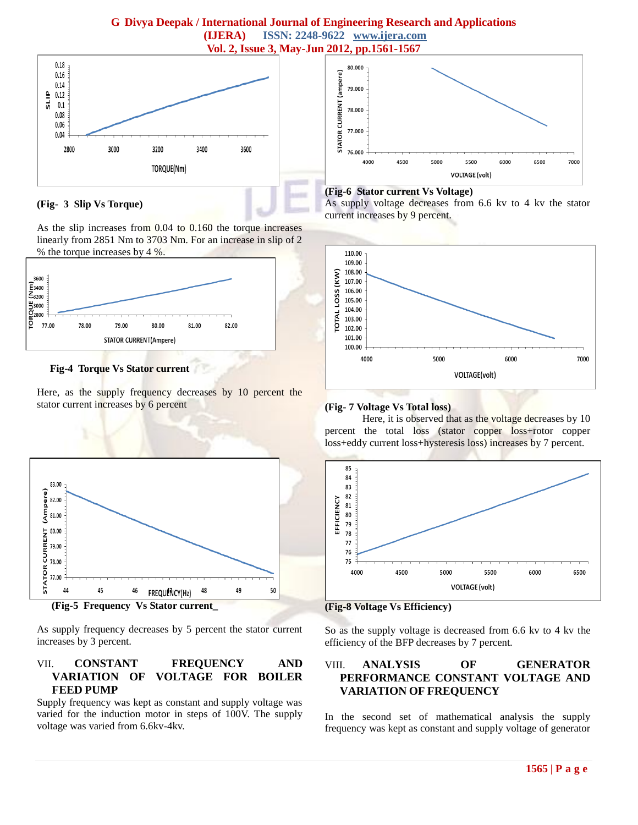

### **(Fig- 3 Slip Vs Torque)**

As the slip increases from 0.04 to 0.160 the torque increases linearly from 2851 Nm to 3703 Nm. For an increase in slip of 2 % the torque increases by 4 %.



**Fig-4 Torque Vs Stator current**

Here, as the supply frequency decreases by 10 percent the stator current increases by 6 percent



As supply frequency decreases by 5 percent the stator current increases by 3 percent.

# VII. **CONSTANT FREQUENCY AND VARIATION OF VOLTAGE FOR BOILER FEED PUMP**

Supply frequency was kept as constant and supply voltage was varied for the induction motor in steps of 100V. The supply voltage was varied from 6.6kv-4kv.



### **(Fig-6 Stator current Vs Voltage)**

As supply voltage decreases from 6.6 kv to 4 kv the stator current increases by 9 percent.



# **(Fig- 7 Voltage Vs Total loss)**

Here, it is observed that as the voltage decreases by 10 percent the total loss (stator copper loss+rotor copper loss+eddy current loss+hysteresis loss) increases by 7 percent.



**(Fig-8 Voltage Vs Efficiency)**

So as the supply voltage is decreased from 6.6 kv to 4 kv the efficiency of the BFP decreases by 7 percent.

# VIII. **ANALYSIS OF GENERATOR PERFORMANCE CONSTANT VOLTAGE AND VARIATION OF FREQUENCY**

In the second set of mathematical analysis the supply frequency was kept as constant and supply voltage of generator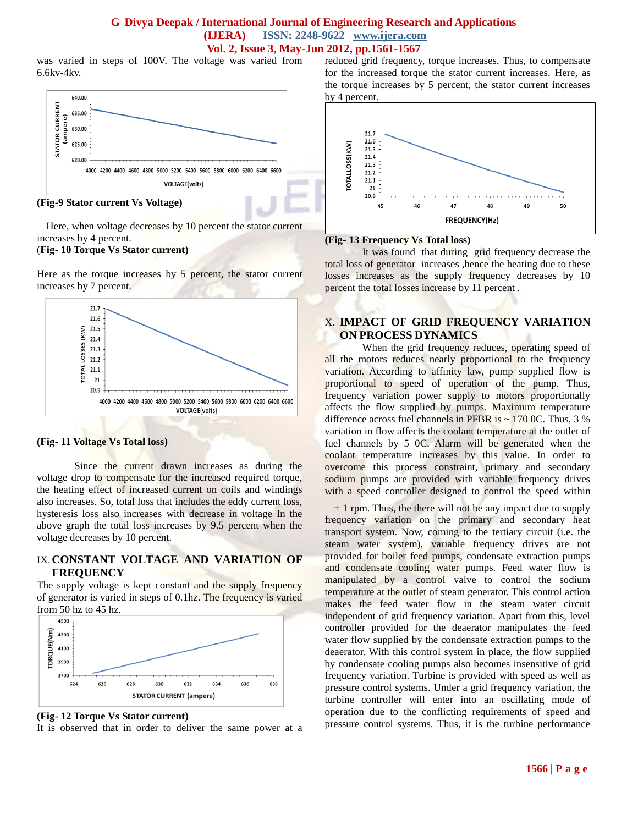was varied in steps of 100V. The voltage was varied from 6.6kv-4kv.



#### **(Fig-9 Stator current Vs Voltage)**

Here, when voltage decreases by 10 percent the stator current increases by 4 percent.

#### (**Fig- 10 Torque Vs Stator current)**

Here as the torque increases by 5 percent, the stator current increases by 7 percent.



#### **(Fig- 11 Voltage Vs Total loss)**

Since the current drawn increases as during the voltage drop to compensate for the increased required torque, the heating effect of increased current on coils and windings also increases. So, total loss that includes the eddy current loss, hysteresis loss also increases with decrease in voltage In the above graph the total loss increases by 9.5 percent when the voltage decreases by 10 percent.

### IX.**CONSTANT VOLTAGE AND VARIATION OF FREQUENCY**

The supply voltage is kept constant and the supply frequency of generator is varied in steps of 0.1hz. The frequency is varied from 50 hz to 45 hz.



#### **(Fig- 12 Torque Vs Stator current)**

It is observed that in order to deliver the same power at a

reduced grid frequency, torque increases. Thus, to compensate for the increased torque the stator current increases. Here, as the torque increases by 5 percent, the stator current increases by 4 percent.



### **(Fig- 13 Frequency Vs Total loss)**

It was found that during grid frequency decrease the total loss of generator increases ,hence the heating due to these losses increases as the supply frequency decreases by 10 percent the total losses increase by 11 percent .

# X. **IMPACT OF GRID FREQUENCY VARIATION ON PROCESS DYNAMICS**

When the grid frequency reduces, operating speed of all the motors reduces nearly proportional to the frequency variation. According to affinity law, pump supplied flow is proportional to speed of operation of the pump. Thus, frequency variation power supply to motors proportionally affects the flow supplied by pumps. Maximum temperature difference across fuel channels in PFBR is  $\sim$  170 0C. Thus, 3 % variation in flow affects the coolant temperature at the outlet of fuel channels by 5 0C. Alarm will be generated when the coolant temperature increases by this value. In order to overcome this process constraint, primary and secondary sodium pumps are provided with variable frequency drives with a speed controller designed to control the speed within

 $\pm$  1 rpm. Thus, the there will not be any impact due to supply frequency variation on the primary and secondary heat transport system. Now, coming to the tertiary circuit (i.e. the steam water system), variable frequency drives are not provided for boiler feed pumps, condensate extraction pumps and condensate cooling water pumps. Feed water flow is manipulated by a control valve to control the sodium temperature at the outlet of steam generator. This control action makes the feed water flow in the steam water circuit independent of grid frequency variation. Apart from this, level controller provided for the deaerator manipulates the feed water flow supplied by the condensate extraction pumps to the deaerator. With this control system in place, the flow supplied by condensate cooling pumps also becomes insensitive of grid frequency variation. Turbine is provided with speed as well as pressure control systems. Under a grid frequency variation, the turbine controller will enter into an oscillating mode of operation due to the conflicting requirements of speed and pressure control systems. Thus, it is the turbine performance